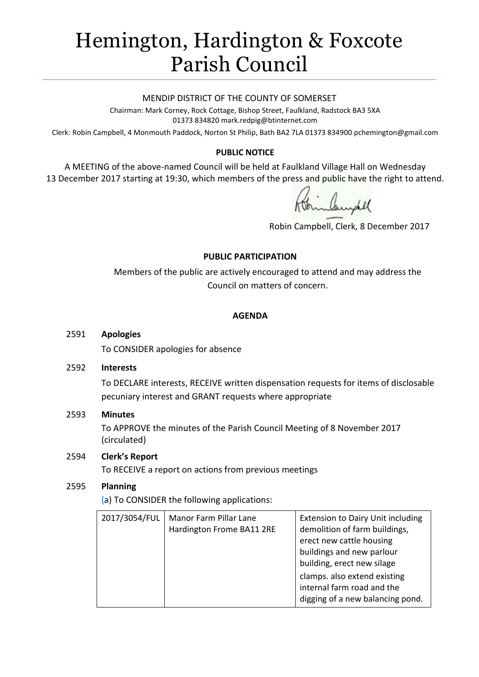# Hemington, Hardington & Foxcote Parish Council

#### MENDIP DISTRICT OF THE COUNTY OF SOMERSET

Chairman: Mark Corney, Rock Cottage, Bishop Street, Faulkland, Radstock BA3 5XA 01373 834820 mark.redpig@btinternet.com

Clerk: Robin Campbell, 4 Monmouth Paddock, Norton St Philip, Bath BA2 7LA 01373 834900 [pchemington@gmail.com](mailto:pchemington@gmail.com)

# **PUBLIC NOTICE**

A MEETING of the above-named Council will be held at Faulkland Village Hall on Wednesday 13 December 2017 starting at 19:30, which members of the press and public have the right to attend.

Robin Campbell, Clerk, 8 December 2017

# **PUBLIC PARTICIPATION**

Members of the public are actively encouraged to attend and may address the Council on matters of concern.

#### **AGENDA**

#### 2591 **Apologies**

To CONSIDER apologies for absence

#### 2592 **Interests**

To DECLARE interests, RECEIVE written dispensation requests for items of disclosable pecuniary interest and GRANT requests where appropriate

# 2593 **Minutes**

To APPROVE the minutes of the Parish Council Meeting of 8 November 2017 (circulated)

# 2594 **Clerk's Report**

To RECEIVE a report on actions from previous meetings

# 2595 **Planning**

(a) To CONSIDER the following applications:

| 2017/3054/FUL<br>Manor Farm Pillar Lane<br>Hardington Frome BA11 2RE | <b>Extension to Dairy Unit including</b><br>demolition of farm buildings,<br>erect new cattle housing<br>buildings and new parlour<br>building, erect new silage<br>clamps. also extend existing<br>internal farm road and the<br>digging of a new balancing pond. |
|----------------------------------------------------------------------|--------------------------------------------------------------------------------------------------------------------------------------------------------------------------------------------------------------------------------------------------------------------|
|----------------------------------------------------------------------|--------------------------------------------------------------------------------------------------------------------------------------------------------------------------------------------------------------------------------------------------------------------|